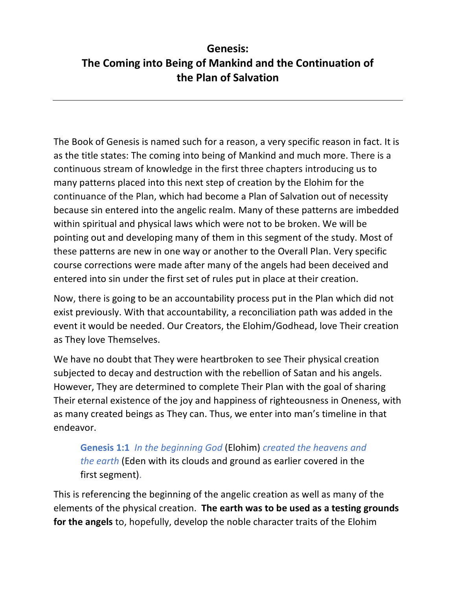# **Genesis: The Coming into Being of Mankind and the Continuation of the Plan of Salvation**

The Book of Genesis is named such for a reason, a very specific reason in fact. It is as the title states: The coming into being of Mankind and much more. There is a continuous stream of knowledge in the first three chapters introducing us to many patterns placed into this next step of creation by the Elohim for the continuance of the Plan, which had become a Plan of Salvation out of necessity because sin entered into the angelic realm. Many of these patterns are imbedded within spiritual and physical laws which were not to be broken. We will be pointing out and developing many of them in this segment of the study. Most of these patterns are new in one way or another to the Overall Plan. Very specific course corrections were made after many of the angels had been deceived and entered into sin under the first set of rules put in place at their creation.

Now, there is going to be an accountability process put in the Plan which did not exist previously. With that accountability, a reconciliation path was added in the event it would be needed. Our Creators, the Elohim/Godhead, love Their creation as They love Themselves.

We have no doubt that They were heartbroken to see Their physical creation subjected to decay and destruction with the rebellion of Satan and his angels. However, They are determined to complete Their Plan with the goal of sharing Their eternal existence of the joy and happiness of righteousness in Oneness, with as many created beings as They can. Thus, we enter into man's timeline in that endeavor.

**Genesis 1:1** *In the beginning God* (Elohim) *created the heavens and the earth* (Eden with its clouds and ground as earlier covered in the first segment).

This is referencing the beginning of the angelic creation as well as many of the elements of the physical creation. **The earth was to be used as a testing grounds for the angels** to, hopefully, develop the noble character traits of the Elohim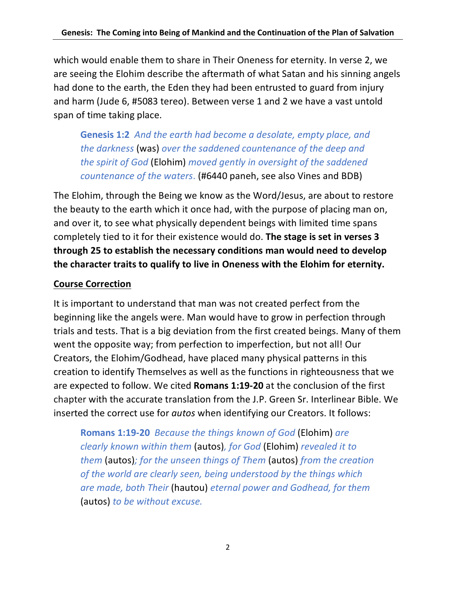which would enable them to share in Their Oneness for eternity. In verse 2, we are seeing the Elohim describe the aftermath of what Satan and his sinning angels had done to the earth, the Eden they had been entrusted to guard from injury and harm (Jude 6, #5083 tereo). Between verse 1 and 2 we have a vast untold span of time taking place.

**Genesis 1:2** *And the earth had become a desolate, empty place, and the darkness* (was) *over the saddened countenance of the deep and the spirit of God* (Elohim) *moved gently in oversight of the saddened countenance of the waters*. (#6440 paneh, see also Vines and BDB)

The Elohim, through the Being we know as the Word/Jesus, are about to restore the beauty to the earth which it once had, with the purpose of placing man on, and over it, to see what physically dependent beings with limited time spans completely tied to it for their existence would do. **The stage is set in verses 3 through 25 to establish the necessary conditions man would need to develop the character traits to qualify to live in Oneness with the Elohim for eternity.**

### **Course Correction**

It is important to understand that man was not created perfect from the beginning like the angels were. Man would have to grow in perfection through trials and tests. That is a big deviation from the first created beings. Many of them went the opposite way; from perfection to imperfection, but not all! Our Creators, the Elohim/Godhead, have placed many physical patterns in this creation to identify Themselves as well as the functions in righteousness that we are expected to follow. We cited **Romans 1:19-20** at the conclusion of the first chapter with the accurate translation from the J.P. Green Sr. Interlinear Bible. We inserted the correct use for *autos* when identifying our Creators. It follows:

**Romans 1:19-20** *Because the things known of God* (Elohim) *are clearly known within them* (autos)*, for God* (Elohim) *revealed it to them* (autos)*; for the unseen things of Them* (autos) *from the creation of the world are clearly seen, being understood by the things which are made, both Their* (hautou) *eternal power and Godhead, for them*  (autos) *to be without excuse.*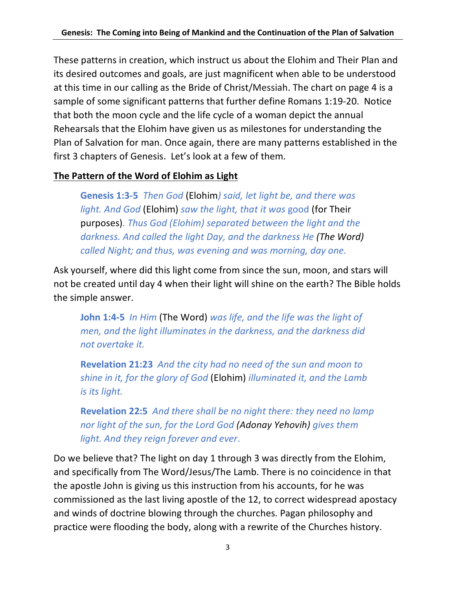These patterns in creation, which instruct us about the Elohim and Their Plan and its desired outcomes and goals, are just magnificent when able to be understood at this time in our calling as the Bride of Christ/Messiah. The chart on page 4 is a sample of some significant patterns that further define Romans 1:19-20. Notice that both the moon cycle and the life cycle of a woman depict the annual Rehearsals that the Elohim have given us as milestones for understanding the Plan of Salvation for man. Once again, there are many patterns established in the first 3 chapters of Genesis. Let's look at a few of them.

### **The Pattern of the Word of Elohim as Light**

**Genesis 1:3-5** *Then God* (Elohim*) said, let light be, and there was light. And God* (Elohim) *saw the light, that it was* good (for Their purposes)*. Thus God (Elohim) separated between the light and the darkness. And called the light Day, and the darkness He (The Word) called Night; and thus, was evening and was morning, day one.*

Ask yourself, where did this light come from since the sun, moon, and stars will not be created until day 4 when their light will shine on the earth? The Bible holds the simple answer.

**John 1:4-5** *In Him* (The Word) *was life, and the life was the light of men, and the light illuminates in the darkness, and the darkness did not overtake it.*

**Revelation 21:23** *And the city had no need of the sun and moon to shine in it, for the glory of God* (Elohim) *illuminated it, and the Lamb is its light.*

**Revelation 22:5** *And there shall be no night there: they need no lamp nor light of the sun, for the Lord God (Adonay Yehovih) gives them light. And they reign forever and ever*.

Do we believe that? The light on day 1 through 3 was directly from the Elohim, and specifically from The Word/Jesus/The Lamb. There is no coincidence in that the apostle John is giving us this instruction from his accounts, for he was commissioned as the last living apostle of the 12, to correct widespread apostacy and winds of doctrine blowing through the churches. Pagan philosophy and practice were flooding the body, along with a rewrite of the Churches history.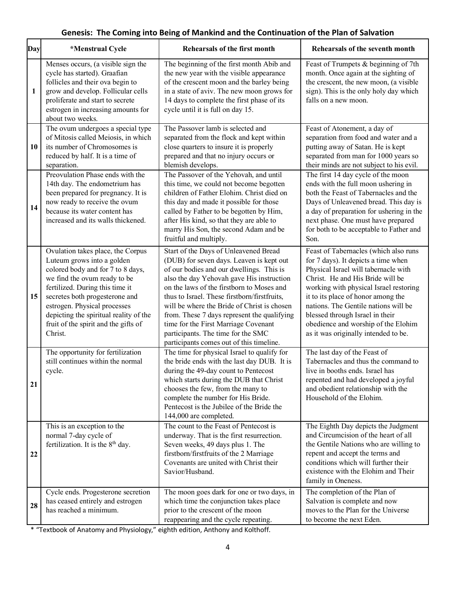#### **Genesis: The Coming into Being of Mankind and the Continuation of the Plan of Salvation**

| Day | *Menstrual Cycle                                                                                                                                                                                                                                                                                                                       | Rehearsals of the first month                                                                                                                                                                                                                                                                                                                                                                                                                                                                   | Rehearsals of the seventh month                                                                                                                                                                                                                                                                                                                                                                    |
|-----|----------------------------------------------------------------------------------------------------------------------------------------------------------------------------------------------------------------------------------------------------------------------------------------------------------------------------------------|-------------------------------------------------------------------------------------------------------------------------------------------------------------------------------------------------------------------------------------------------------------------------------------------------------------------------------------------------------------------------------------------------------------------------------------------------------------------------------------------------|----------------------------------------------------------------------------------------------------------------------------------------------------------------------------------------------------------------------------------------------------------------------------------------------------------------------------------------------------------------------------------------------------|
| 1   | Menses occurs, (a visible sign the<br>cycle has started). Graafian<br>follicles and their ova begin to<br>grow and develop. Follicular cells<br>proliferate and start to secrete<br>estrogen in increasing amounts for<br>about two weeks.                                                                                             | The beginning of the first month Abib and<br>the new year with the visible appearance<br>of the crescent moon and the barley being<br>in a state of aviv. The new moon grows for<br>14 days to complete the first phase of its<br>cycle until it is full on day 15.                                                                                                                                                                                                                             | Feast of Trumpets & beginning of 7th<br>month. Once again at the sighting of<br>the crescent, the new moon, (a visible<br>sign). This is the only holy day which<br>falls on a new moon.                                                                                                                                                                                                           |
| 10  | The ovum undergoes a special type<br>of Mitosis called Meiosis, in which<br>its number of Chromosomes is<br>reduced by half. It is a time of<br>separation.                                                                                                                                                                            | The Passover lamb is selected and<br>separated from the flock and kept within<br>close quarters to insure it is properly<br>prepared and that no injury occurs or<br>blemish develops.                                                                                                                                                                                                                                                                                                          | Feast of Atonement, a day of<br>separation from food and water and a<br>putting away of Satan. He is kept<br>separated from man for 1000 years so<br>their minds are not subject to his evil.                                                                                                                                                                                                      |
| 14  | Preovulation Phase ends with the<br>14th day. The endometrium has<br>been prepared for pregnancy. It is<br>now ready to receive the ovum<br>because its water content has<br>increased and its walls thickened.                                                                                                                        | The Passover of the Yehovah, and until<br>this time, we could not become begotten<br>children of Father Elohim. Christ died on<br>this day and made it possible for those<br>called by Father to be begotten by Him,<br>after His kind, so that they are able to<br>marry His Son, the second Adam and be<br>fruitful and multiply.                                                                                                                                                             | The first 14 day cycle of the moon<br>ends with the full moon ushering in<br>both the Feast of Tabernacles and the<br>Days of Unleavened bread. This day is<br>a day of preparation for ushering in the<br>next phase. One must have prepared<br>for both to be acceptable to Father and<br>Son.                                                                                                   |
| 15  | Ovulation takes place, the Corpus<br>Luteum grows into a golden<br>colored body and for 7 to 8 days,<br>we find the ovum ready to be<br>fertilized. During this time it<br>secretes both progesterone and<br>estrogen. Physical processes<br>depicting the spiritual reality of the<br>fruit of the spirit and the gifts of<br>Christ. | Start of the Days of Unleavened Bread<br>(DUB) for seven days. Leaven is kept out<br>of our bodies and our dwellings. This is<br>also the day Yehovah gave His instruction<br>on the laws of the firstborn to Moses and<br>thus to Israel. These firstborn/firstfruits,<br>will be where the Bride of Christ is chosen<br>from. These 7 days represent the qualifying<br>time for the First Marriage Covenant<br>participants. The time for the SMC<br>participants comes out of this timeline. | Feast of Tabernacles (which also runs<br>for 7 days). It depicts a time when<br>Physical Israel will tabernacle with<br>Christ. He and His Bride will be<br>working with physical Israel restoring<br>it to its place of honor among the<br>nations. The Gentile nations will be<br>blessed through Israel in their<br>obedience and worship of the Elohim<br>as it was originally intended to be. |
| 21  | The opportunity for fertilization<br>still continues within the normal<br>cycle.                                                                                                                                                                                                                                                       | The time for physical Israel to qualify for<br>the bride ends with the last day DUB. It is<br>during the 49-day count to Pentecost<br>which starts during the DUB that Christ<br>chooses the few, from the many to<br>complete the number for His Bride.<br>Pentecost is the Jubilee of the Bride the<br>144,000 are completed.                                                                                                                                                                 | The last day of the Feast of<br>Tabernacles and thus the command to<br>live in booths ends. Israel has<br>repented and had developed a joyful<br>and obedient relationship with the<br>Household of the Elohim.                                                                                                                                                                                    |
| 22  | This is an exception to the<br>normal 7-day cycle of<br>fertilization. It is the 8 <sup>th</sup> day.                                                                                                                                                                                                                                  | The count to the Feast of Pentecost is<br>underway. That is the first resurrection.<br>Seven weeks, 49 days plus 1. The<br>firstborn/firstfruits of the 2 Marriage<br>Covenants are united with Christ their<br>Savior/Husband.                                                                                                                                                                                                                                                                 | The Eighth Day depicts the Judgment<br>and Circumcision of the heart of all<br>the Gentile Nations who are willing to<br>repent and accept the terms and<br>conditions which will further their<br>existence with the Elohim and Their<br>family in Oneness.                                                                                                                                       |
| 28  | Cycle ends. Progesterone secretion<br>has ceased entirely and estrogen<br>has reached a minimum.                                                                                                                                                                                                                                       | The moon goes dark for one or two days, in<br>which time the conjunction takes place<br>prior to the crescent of the moon<br>reappearing and the cycle repeating.                                                                                                                                                                                                                                                                                                                               | The completion of the Plan of<br>Salvation is complete and now<br>moves to the Plan for the Universe<br>to become the next Eden.                                                                                                                                                                                                                                                                   |

\* "Textbook of Anatomy and Physiology," eighth edition, Anthony and Kolthoff.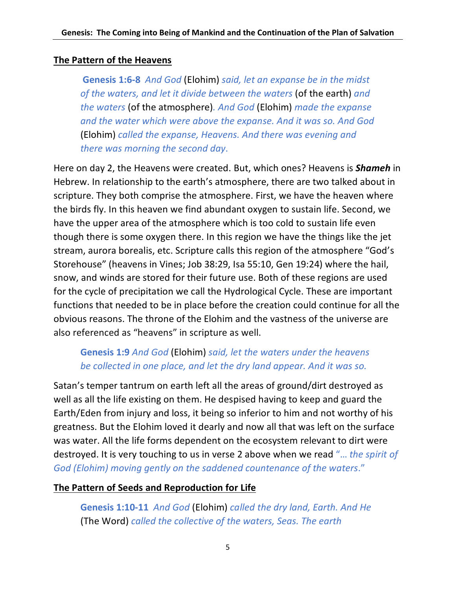#### **The Pattern of the Heavens**

**Genesis 1:6-8** *And God* (Elohim) *said, let an expanse be in the midst of the waters, and let it divide between the waters* (of the earth) *and the waters* (of the atmosphere)*. And God* (Elohim) *made the expanse and the water which were above the expanse. And it was so. And God*  (Elohim) *called the expanse, Heavens. And there was evening and there was morning the second day*.

Here on day 2, the Heavens were created. But, which ones? Heavens is *Shameh* in Hebrew. In relationship to the earth's atmosphere, there are two talked about in scripture. They both comprise the atmosphere. First, we have the heaven where the birds fly. In this heaven we find abundant oxygen to sustain life. Second, we have the upper area of the atmosphere which is too cold to sustain life even though there is some oxygen there. In this region we have the things like the jet stream, aurora borealis, etc. Scripture calls this region of the atmosphere "God's Storehouse" (heavens in Vines; Job 38:29, Isa 55:10, Gen 19:24) where the hail, snow, and winds are stored for their future use. Both of these regions are used for the cycle of precipitation we call the Hydrological Cycle. These are important functions that needed to be in place before the creation could continue for all the obvious reasons. The throne of the Elohim and the vastness of the universe are also referenced as "heavens" in scripture as well.

# **Genesis 1:9** *And God* (Elohim) *said, let the waters under the heavens be collected in one place, and let the dry land appear. And it was so.*

Satan's temper tantrum on earth left all the areas of ground/dirt destroyed as well as all the life existing on them. He despised having to keep and guard the Earth/Eden from injury and loss, it being so inferior to him and not worthy of his greatness. But the Elohim loved it dearly and now all that was left on the surface was water. All the life forms dependent on the ecosystem relevant to dirt were destroyed. It is very touching to us in verse 2 above when we read "… *the spirit of God (Elohim) moving gently on the saddened countenance of the waters*."

### **The Pattern of Seeds and Reproduction for Life**

**Genesis 1:10-11** *And God* (Elohim) *called the dry land, Earth. And He*  (The Word) *called the collective of the waters, Seas. The earth*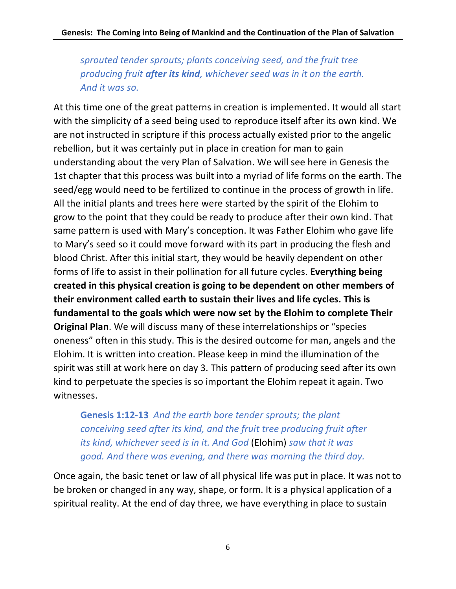*sprouted tender sprouts; plants conceiving seed, and the fruit tree producing fruit after its kind, whichever seed was in it on the earth. And it was so.*

At this time one of the great patterns in creation is implemented. It would all start with the simplicity of a seed being used to reproduce itself after its own kind. We are not instructed in scripture if this process actually existed prior to the angelic rebellion, but it was certainly put in place in creation for man to gain understanding about the very Plan of Salvation. We will see here in Genesis the 1st chapter that this process was built into a myriad of life forms on the earth. The seed/egg would need to be fertilized to continue in the process of growth in life. All the initial plants and trees here were started by the spirit of the Elohim to grow to the point that they could be ready to produce after their own kind. That same pattern is used with Mary's conception. It was Father Elohim who gave life to Mary's seed so it could move forward with its part in producing the flesh and blood Christ. After this initial start, they would be heavily dependent on other forms of life to assist in their pollination for all future cycles. **Everything being created in this physical creation is going to be dependent on other members of their environment called earth to sustain their lives and life cycles. This is fundamental to the goals which were now set by the Elohim to complete Their Original Plan**. We will discuss many of these interrelationships or "species oneness" often in this study. This is the desired outcome for man, angels and the Elohim. It is written into creation. Please keep in mind the illumination of the spirit was still at work here on day 3. This pattern of producing seed after its own kind to perpetuate the species is so important the Elohim repeat it again. Two witnesses.

**Genesis 1:12-13** *And the earth bore tender sprouts; the plant conceiving seed after its kind, and the fruit tree producing fruit after its kind, whichever seed is in it. And God* (Elohim) *saw that it was good. And there was evening, and there was morning the third day.*

Once again, the basic tenet or law of all physical life was put in place. It was not to be broken or changed in any way, shape, or form. It is a physical application of a spiritual reality. At the end of day three, we have everything in place to sustain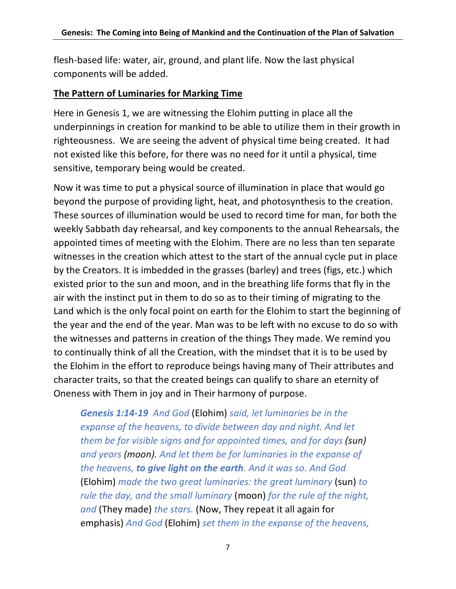flesh-based life: water, air, ground, and plant life. Now the last physical components will be added.

#### **The Pattern of Luminaries for Marking Time**

Here in Genesis 1, we are witnessing the Elohim putting in place all the underpinnings in creation for mankind to be able to utilize them in their growth in righteousness. We are seeing the advent of physical time being created. It had not existed like this before, for there was no need for it until a physical, time sensitive, temporary being would be created.

Now it was time to put a physical source of illumination in place that would go beyond the purpose of providing light, heat, and photosynthesis to the creation. These sources of illumination would be used to record time for man, for both the weekly Sabbath day rehearsal, and key components to the annual Rehearsals, the appointed times of meeting with the Elohim. There are no less than ten separate witnesses in the creation which attest to the start of the annual cycle put in place by the Creators. It is imbedded in the grasses (barley) and trees (figs, etc.) which existed prior to the sun and moon, and in the breathing life forms that fly in the air with the instinct put in them to do so as to their timing of migrating to the Land which is the only focal point on earth for the Elohim to start the beginning of the year and the end of the year. Man was to be left with no excuse to do so with the witnesses and patterns in creation of the things They made. We remind you to continually think of all the Creation, with the mindset that it is to be used by the Elohim in the effort to reproduce beings having many of Their attributes and character traits, so that the created beings can qualify to share an eternity of Oneness with Them in joy and in Their harmony of purpose.

*Genesis 1:14-19 And God* (Elohim) *said, let luminaries be in the expanse of the heavens, to divide between day and night. And let them be for visible signs and for appointed times, and for days (sun) and years (moon). And let them be for luminaries in the expanse of the heavens, to give light on the earth. And it was so. And God*  (Elohim) *made the two great luminaries: the great luminary* (sun) *to rule the day, and the small luminary* (moon) *for the rule of the night, and* (They made) *the stars.* (Now, They repeat it all again for emphasis) *And God* (Elohim) *set them in the expanse of the heavens,*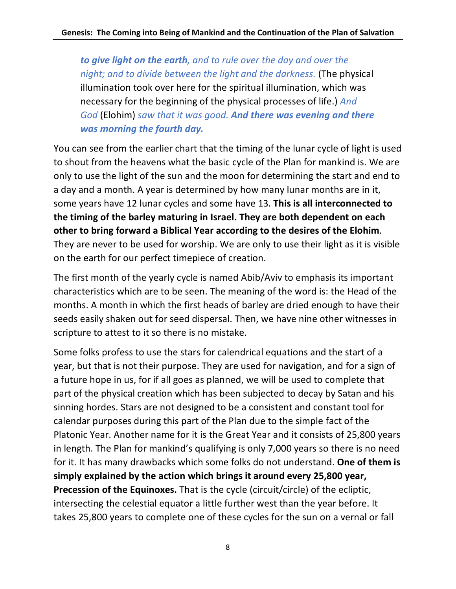*to give light on the earth, and to rule over the day and over the night; and to divide between the light and the darkness.* (The physical illumination took over here for the spiritual illumination, which was necessary for the beginning of the physical processes of life.) *And God* (Elohim) *saw that it was good. And there was evening and there was morning the fourth day.*

You can see from the earlier chart that the timing of the lunar cycle of light is used to shout from the heavens what the basic cycle of the Plan for mankind is. We are only to use the light of the sun and the moon for determining the start and end to a day and a month. A year is determined by how many lunar months are in it, some years have 12 lunar cycles and some have 13. **This is all interconnected to the timing of the barley maturing in Israel. They are both dependent on each other to bring forward a Biblical Year according to the desires of the Elohim**. They are never to be used for worship. We are only to use their light as it is visible on the earth for our perfect timepiece of creation.

The first month of the yearly cycle is named Abib/Aviv to emphasis its important characteristics which are to be seen. The meaning of the word is: the Head of the months. A month in which the first heads of barley are dried enough to have their seeds easily shaken out for seed dispersal. Then, we have nine other witnesses in scripture to attest to it so there is no mistake.

Some folks profess to use the stars for calendrical equations and the start of a year, but that is not their purpose. They are used for navigation, and for a sign of a future hope in us, for if all goes as planned, we will be used to complete that part of the physical creation which has been subjected to decay by Satan and his sinning hordes. Stars are not designed to be a consistent and constant tool for calendar purposes during this part of the Plan due to the simple fact of the Platonic Year. Another name for it is the Great Year and it consists of 25,800 years in length. The Plan for mankind's qualifying is only 7,000 years so there is no need for it. It has many drawbacks which some folks do not understand. **One of them is simply explained by the action which brings it around every 25,800 year, Precession of the Equinoxes.** That is the cycle (circuit/circle) of the ecliptic, intersecting the celestial equator a little further west than the year before. It takes 25,800 years to complete one of these cycles for the sun on a vernal or fall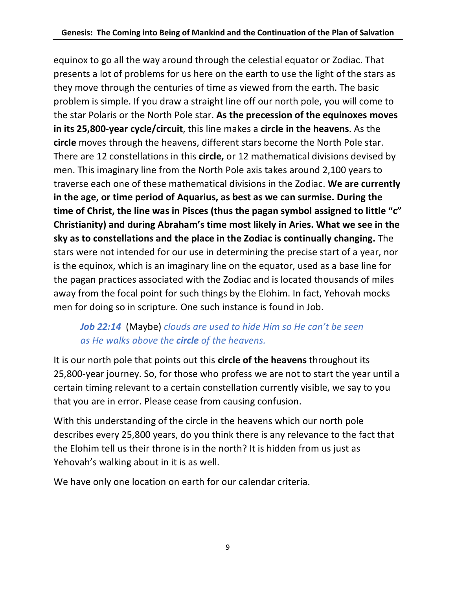equinox to go all the way around through the celestial equator or Zodiac. That presents a lot of problems for us here on the earth to use the light of the stars as they move through the centuries of time as viewed from the earth. The basic problem is simple. If you draw a straight line off our north pole, you will come to the star Polaris or the North Pole star. **As the precession of the equinoxes moves in its 25,800-year cycle/circuit**, this line makes a **circle in the heavens**. As the **circle** moves through the heavens, different stars become the North Pole star. There are 12 constellations in this **circle,** or 12 mathematical divisions devised by men. This imaginary line from the North Pole axis takes around 2,100 years to traverse each one of these mathematical divisions in the Zodiac. **We are currently in the age, or time period of Aquarius, as best as we can surmise. During the time of Christ, the line was in Pisces (thus the pagan symbol assigned to little "c" Christianity) and during Abraham's time most likely in Aries. What we see in the sky as to constellations and the place in the Zodiac is continually changing.** The stars were not intended for our use in determining the precise start of a year, nor is the equinox, which is an imaginary line on the equator, used as a base line for the pagan practices associated with the Zodiac and is located thousands of miles away from the focal point for such things by the Elohim. In fact, Yehovah mocks men for doing so in scripture. One such instance is found in Job.

### *Job 22:14* (Maybe) *clouds are used to hide Him so He can't be seen as He walks above the circle of the heavens.*

It is our north pole that points out this **circle of the heavens** throughout its 25,800-year journey. So, for those who profess we are not to start the year until a certain timing relevant to a certain constellation currently visible, we say to you that you are in error. Please cease from causing confusion.

With this understanding of the circle in the heavens which our north pole describes every 25,800 years, do you think there is any relevance to the fact that the Elohim tell us their throne is in the north? It is hidden from us just as Yehovah's walking about in it is as well.

We have only one location on earth for our calendar criteria.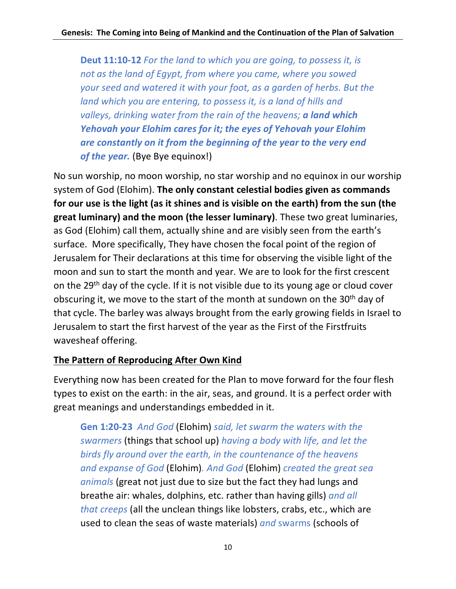**Deut 11:10-12** *For the land to which you are going, to possess it, is not as the land of Egypt, from where you came, where you sowed your seed and watered it with your foot, as a garden of herbs. But the land which you are entering, to possess it, is a land of hills and valleys, drinking water from the rain of the heavens; a land which Yehovah your Elohim cares for it; the eyes of Yehovah your Elohim are constantly on it from the beginning of the year to the very end of the year.* (Bye Bye equinox!)

No sun worship, no moon worship, no star worship and no equinox in our worship system of God (Elohim). **The only constant celestial bodies given as commands for our use is the light (as it shines and is visible on the earth) from the sun (the great luminary) and the moon (the lesser luminary)**. These two great luminaries, as God (Elohim) call them, actually shine and are visibly seen from the earth's surface. More specifically, They have chosen the focal point of the region of Jerusalem for Their declarations at this time for observing the visible light of the moon and sun to start the month and year. We are to look for the first crescent on the 29<sup>th</sup> day of the cycle. If it is not visible due to its young age or cloud cover obscuring it, we move to the start of the month at sundown on the 30<sup>th</sup> day of that cycle. The barley was always brought from the early growing fields in Israel to Jerusalem to start the first harvest of the year as the First of the Firstfruits wavesheaf offering.

### **The Pattern of Reproducing After Own Kind**

Everything now has been created for the Plan to move forward for the four flesh types to exist on the earth: in the air, seas, and ground. It is a perfect order with great meanings and understandings embedded in it.

**Gen 1:20-23** *And God* (Elohim) *said, let swarm the waters with the swarmers* (things that school up) *having a body with life, and let the birds fly around over the earth, in the countenance of the heavens and expanse of God* (Elohim)*. And God* (Elohim) *created the great sea animals* (great not just due to size but the fact they had lungs and breathe air: whales, dolphins, etc. rather than having gills) *and all that creeps* (all the unclean things like lobsters, crabs, etc., which are used to clean the seas of waste materials) *and* swarms (schools of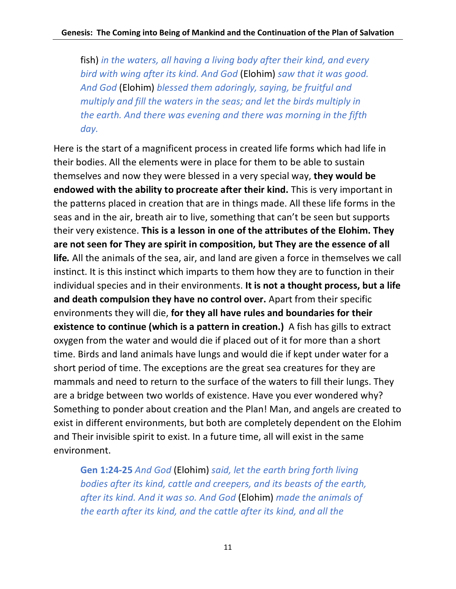fish) *in the waters, all having a living body after their kind, and every bird with wing after its kind. And God* (Elohim) *saw that it was good. And God* (Elohim) *blessed them adoringly, saying, be fruitful and multiply and fill the waters in the seas; and let the birds multiply in the earth. And there was evening and there was morning in the fifth day.*

Here is the start of a magnificent process in created life forms which had life in their bodies. All the elements were in place for them to be able to sustain themselves and now they were blessed in a very special way, **they would be endowed with the ability to procreate after their kind.** This is very important in the patterns placed in creation that are in things made. All these life forms in the seas and in the air, breath air to live, something that can't be seen but supports their very existence. **This is a lesson in one of the attributes of the Elohim. They are not seen for They are spirit in composition, but They are the essence of all life***.* All the animals of the sea, air, and land are given a force in themselves we call instinct. It is this instinct which imparts to them how they are to function in their individual species and in their environments. **It is not a thought process, but a life and death compulsion they have no control over.** Apart from their specific environments they will die, **for they all have rules and boundaries for their existence to continue (which is a pattern in creation.)** A fish has gills to extract oxygen from the water and would die if placed out of it for more than a short time. Birds and land animals have lungs and would die if kept under water for a short period of time. The exceptions are the great sea creatures for they are mammals and need to return to the surface of the waters to fill their lungs. They are a bridge between two worlds of existence. Have you ever wondered why? Something to ponder about creation and the Plan! Man, and angels are created to exist in different environments, but both are completely dependent on the Elohim and Their invisible spirit to exist. In a future time, all will exist in the same environment.

**Gen 1:24-25** *And God* (Elohim) *said, let the earth bring forth living bodies after its kind, cattle and creepers, and its beasts of the earth, after its kind. And it was so. And God* (Elohim) *made the animals of the earth after its kind, and the cattle after its kind, and all the*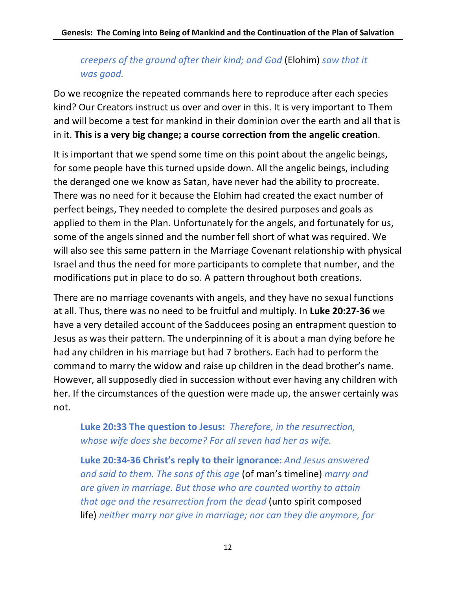# *creepers of the ground after their kind; and God* (Elohim) *saw that it was good.*

Do we recognize the repeated commands here to reproduce after each species kind? Our Creators instruct us over and over in this. It is very important to Them and will become a test for mankind in their dominion over the earth and all that is in it. **This is a very big change; a course correction from the angelic creation**.

It is important that we spend some time on this point about the angelic beings, for some people have this turned upside down. All the angelic beings, including the deranged one we know as Satan, have never had the ability to procreate. There was no need for it because the Elohim had created the exact number of perfect beings, They needed to complete the desired purposes and goals as applied to them in the Plan. Unfortunately for the angels, and fortunately for us, some of the angels sinned and the number fell short of what was required. We will also see this same pattern in the Marriage Covenant relationship with physical Israel and thus the need for more participants to complete that number, and the modifications put in place to do so. A pattern throughout both creations.

There are no marriage covenants with angels, and they have no sexual functions at all. Thus, there was no need to be fruitful and multiply. In **Luke 20:27-36** we have a very detailed account of the Sadducees posing an entrapment question to Jesus as was their pattern. The underpinning of it is about a man dying before he had any children in his marriage but had 7 brothers. Each had to perform the command to marry the widow and raise up children in the dead brother's name. However, all supposedly died in succession without ever having any children with her. If the circumstances of the question were made up, the answer certainly was not.

### **Luke 20:33 The question to Jesus:** *Therefore, in the resurrection, whose wife does she become? For all seven had her as wife.*

**Luke 20:34-36 Christ's reply to their ignorance:** *And Jesus answered and said to them. The sons of this age* (of man's timeline) *marry and are given in marriage. But those who are counted worthy to attain that age and the resurrection from the dead* (unto spirit composed life) *neither marry nor give in marriage; nor can they die anymore, for*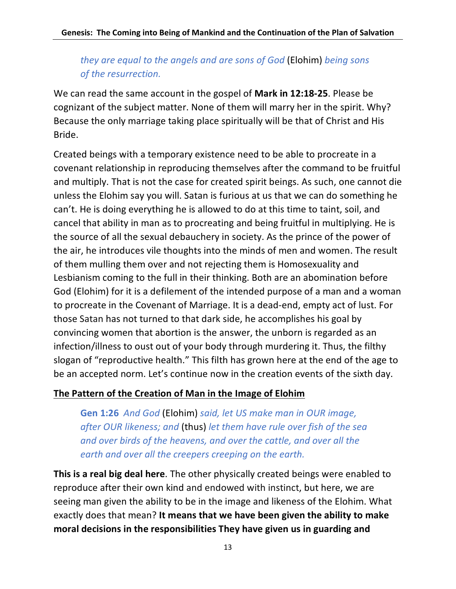### *they are equal to the angels and are sons of God* (Elohim) *being sons of the resurrection.*

We can read the same account in the gospel of **Mark in 12:18-25**. Please be cognizant of the subject matter. None of them will marry her in the spirit. Why? Because the only marriage taking place spiritually will be that of Christ and His Bride.

Created beings with a temporary existence need to be able to procreate in a covenant relationship in reproducing themselves after the command to be fruitful and multiply. That is not the case for created spirit beings. As such, one cannot die unless the Elohim say you will. Satan is furious at us that we can do something he can't. He is doing everything he is allowed to do at this time to taint, soil, and cancel that ability in man as to procreating and being fruitful in multiplying. He is the source of all the sexual debauchery in society. As the prince of the power of the air, he introduces vile thoughts into the minds of men and women. The result of them mulling them over and not rejecting them is Homosexuality and Lesbianism coming to the full in their thinking. Both are an abomination before God (Elohim) for it is a defilement of the intended purpose of a man and a woman to procreate in the Covenant of Marriage. It is a dead-end, empty act of lust. For those Satan has not turned to that dark side, he accomplishes his goal by convincing women that abortion is the answer, the unborn is regarded as an infection/illness to oust out of your body through murdering it. Thus, the filthy slogan of "reproductive health." This filth has grown here at the end of the age to be an accepted norm. Let's continue now in the creation events of the sixth day.

### **The Pattern of the Creation of Man in the Image of Elohim**

**Gen 1:26** *And God* (Elohim) *said, let US make man in OUR image, after OUR likeness; and* (thus) *let them have rule over fish of the sea and over birds of the heavens, and over the cattle, and over all the earth and over all the creepers creeping on the earth.*

**This is a real big deal here**. The other physically created beings were enabled to reproduce after their own kind and endowed with instinct, but here, we are seeing man given the ability to be in the image and likeness of the Elohim. What exactly does that mean? **It means that we have been given the ability to make moral decisions in the responsibilities They have given us in guarding and**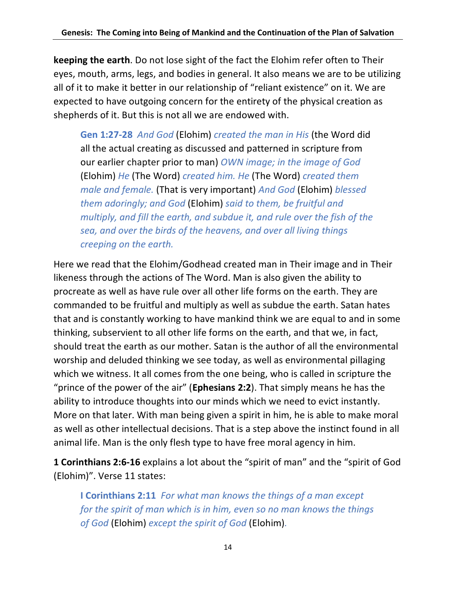**keeping the earth**. Do not lose sight of the fact the Elohim refer often to Their eyes, mouth, arms, legs, and bodies in general. It also means we are to be utilizing all of it to make it better in our relationship of "reliant existence" on it. We are expected to have outgoing concern for the entirety of the physical creation as shepherds of it. But this is not all we are endowed with.

**Gen 1:27-28** *And God* (Elohim) *created the man in His* (the Word did all the actual creating as discussed and patterned in scripture from our earlier chapter prior to man) *OWN image; in the image of God*  (Elohim) *He* (The Word) *created him. He* (The Word) *created them male and female.* (That is very important) *And God* (Elohim) *blessed them adoringly; and God* (Elohim) *said to them, be fruitful and multiply, and fill the earth, and subdue it, and rule over the fish of the sea, and over the birds of the heavens, and over all living things creeping on the earth.*

Here we read that the Elohim/Godhead created man in Their image and in Their likeness through the actions of The Word. Man is also given the ability to procreate as well as have rule over all other life forms on the earth. They are commanded to be fruitful and multiply as well as subdue the earth. Satan hates that and is constantly working to have mankind think we are equal to and in some thinking, subservient to all other life forms on the earth, and that we, in fact, should treat the earth as our mother. Satan is the author of all the environmental worship and deluded thinking we see today, as well as environmental pillaging which we witness. It all comes from the one being, who is called in scripture the "prince of the power of the air" (**Ephesians 2:2**). That simply means he has the ability to introduce thoughts into our minds which we need to evict instantly. More on that later. With man being given a spirit in him, he is able to make moral as well as other intellectual decisions. That is a step above the instinct found in all animal life. Man is the only flesh type to have free moral agency in him.

**1 Corinthians 2:6-16** explains a lot about the "spirit of man" and the "spirit of God (Elohim)". Verse 11 states:

**I Corinthians 2:11** *For what man knows the things of a man except for the spirit of man which is in him, even so no man knows the things of God* (Elohim) *except the spirit of God* (Elohim)*.*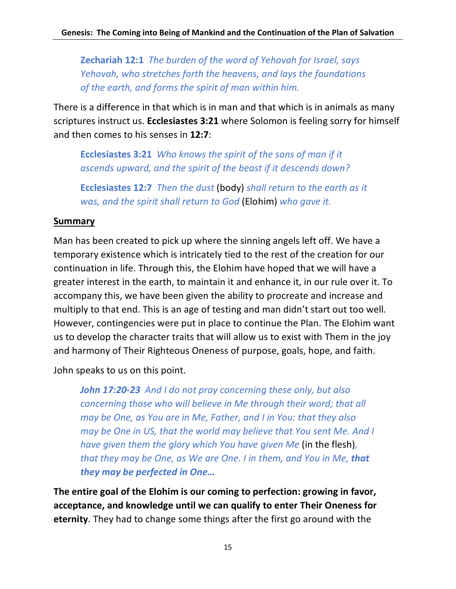**Zechariah 12:1** *The burden of the word of Yehovah for Israel, says Yehovah, who stretches forth the heavens, and lays the foundations of the earth, and forms the spirit of man within him.*

There is a difference in that which is in man and that which is in animals as many scriptures instruct us. **Ecclesiastes 3:21** where Solomon is feeling sorry for himself and then comes to his senses in **12:7**:

**Ecclesiastes 3:21** *Who knows the spirit of the sons of man if it ascends upward, and the spirit of the beast if it descends down?*

**Ecclesiastes 12:7** *Then the dust* (body) *shall return to the earth as it was, and the spirit shall return to God* (Elohim) *who gave it.*

#### **Summary**

Man has been created to pick up where the sinning angels left off. We have a temporary existence which is intricately tied to the rest of the creation for our continuation in life. Through this, the Elohim have hoped that we will have a greater interest in the earth, to maintain it and enhance it, in our rule over it. To accompany this, we have been given the ability to procreate and increase and multiply to that end. This is an age of testing and man didn't start out too well. However, contingencies were put in place to continue the Plan. The Elohim want us to develop the character traits that will allow us to exist with Them in the joy and harmony of Their Righteous Oneness of purpose, goals, hope, and faith.

John speaks to us on this point.

*John 17:20-23**And I do not pray concerning these only, but also concerning those who will believe in Me through their word; that all may be One, as You are in Me, Father, and I in You: that they also may be One in US, that the world may believe that You sent Me. And I have given them the glory which You have given Me* (in the flesh)*, that they may be One, as We are One. I in them, and You in Me, that they may be perfected in One…*

**The entire goal of the Elohim is our coming to perfection: growing in favor, acceptance, and knowledge until we can qualify to enter Their Oneness for eternity**. They had to change some things after the first go around with the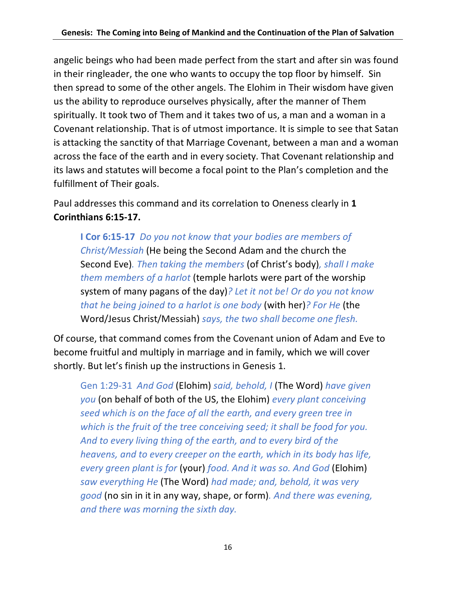angelic beings who had been made perfect from the start and after sin was found in their ringleader, the one who wants to occupy the top floor by himself. Sin then spread to some of the other angels. The Elohim in Their wisdom have given us the ability to reproduce ourselves physically, after the manner of Them spiritually. It took two of Them and it takes two of us, a man and a woman in a Covenant relationship. That is of utmost importance. It is simple to see that Satan is attacking the sanctity of that Marriage Covenant, between a man and a woman across the face of the earth and in every society. That Covenant relationship and its laws and statutes will become a focal point to the Plan's completion and the fulfillment of Their goals.

Paul addresses this command and its correlation to Oneness clearly in **1 Corinthians 6:15-17.**

**I Cor 6:15-17** *Do you not know that your bodies are members of Christ/Messiah* (He being the Second Adam and the church the Second Eve)*. Then taking the members* (of Christ's body)*, shall I make them members of a harlot* (temple harlots were part of the worship system of many pagans of the day)*? Let it not be! Or do you not know that he being joined to a harlot is one body* (with her)*? For He* (the Word/Jesus Christ/Messiah) *says, the two shall become one flesh.*

Of course, that command comes from the Covenant union of Adam and Eve to become fruitful and multiply in marriage and in family, which we will cover shortly. But let's finish up the instructions in Genesis 1.

Gen 1:29-31 *And God* (Elohim) *said, behold, I* (The Word) *have given you* (on behalf of both of the US, the Elohim) *every plant conceiving seed which is on the face of all the earth, and every green tree in which is the fruit of the tree conceiving seed; it shall be food for you. And to every living thing of the earth, and to every bird of the heavens, and to every creeper on the earth, which in its body has life, every green plant is for* (your) *food. And it was so. And God* (Elohim) *saw everything He* (The Word) *had made; and, behold, it was very good* (no sin in it in any way, shape, or form)*. And there was evening, and there was morning the sixth day.*